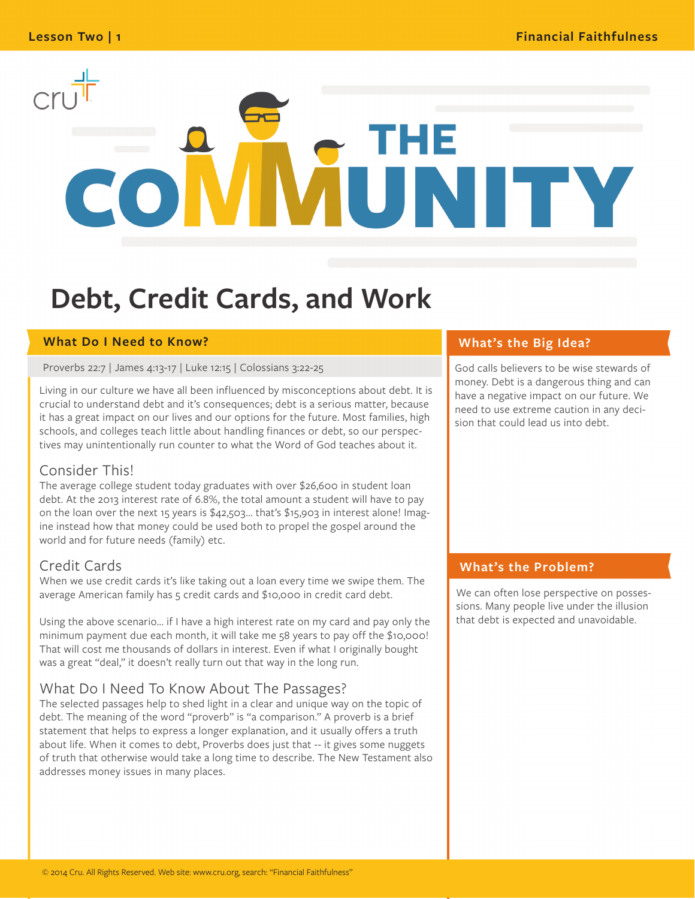# N ITY

## **Debt, Credit Cards, and Work**

#### **What Do I Need to Know?**

Proverbs 22:7 | James 4:13-17 | Luke 12:15 | Colossians 3:22-25

Living in our culture we have all been influenced by misconceptions about debt. It is crucial to understand debt and it's consequences; debt is a serious matter, because it has a great impact on our lives and our options for the future. Most families, high schools, and colleges teach little about handling finances or debt, so our perspectives may unintentionally run counter to what the Word of God teaches about it.

#### Consider This!

The average college student today graduates with over \$26,600 in student loan debt. At the 2013 interest rate of 6.8%, the total amount a student will have to pay on the loan over the next 15 years is \$42,503... that's \$15,903 in interest alone! Imagine instead how that money could be used both to propel the gospel around the world and for future needs (family) etc.

#### Credit Cards

When we use credit cards it's like taking out a loan every time we swipe them. The average American family has 5 credit cards and \$10,000 in credit card debt.

Using the above scenario... if I have a high interest rate on my card and pay only the minimum payment due each month, it will take me 58 years to pay off the \$10,000! That will cost me thousands of dollars in interest. Even if what I originally bought was a great "deal," it doesn't really turn out that way in the long run.

#### What Do I Need To Know About The Passages?

The selected passages help to shed light in a clear and unique way on the topic of debt. The meaning of the word "proverb" is "a comparison." A proverb is a brief statement that helps to express a longer explanation, and it usually offers a truth about life. When it comes to debt, Proverbs does just that -- it gives some nuggets of truth that otherwise would take a long time to describe. The New Testament also addresses money issues in many places.

#### **What's the Big Idea?**

God calls believers to be wise stewards of money. Debt is a dangerous thing and can have a negative impact on our future. We need to use extreme caution in any decision that could lead us into debt.

#### **What's the Problem?**

We can often lose perspective on possessions. Many people live under the illusion that debt is expected and unavoidable.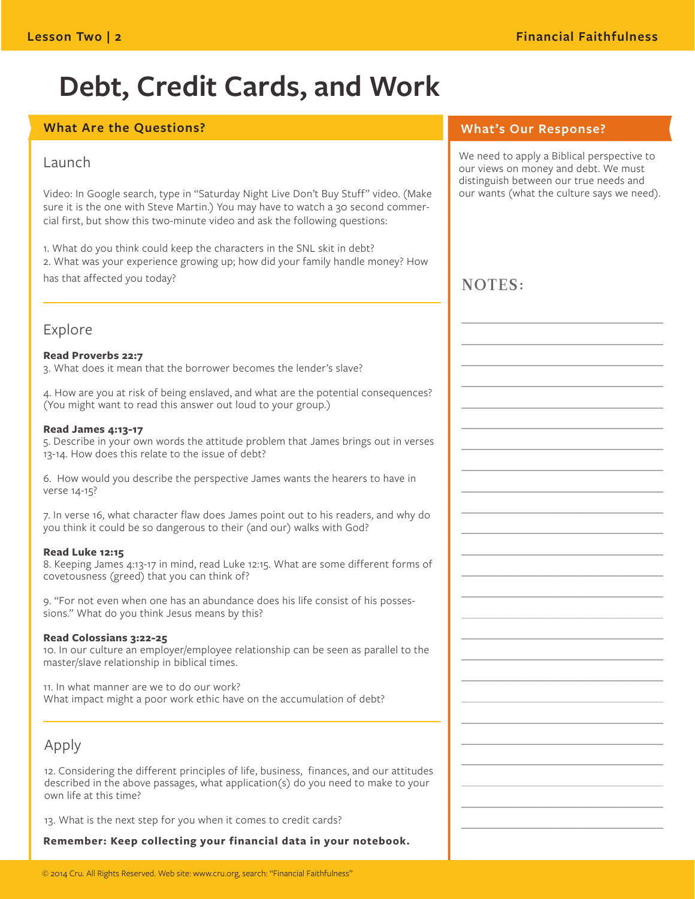## **Debt, Credit Cards, and Work**

#### **What Are the Questions?**

#### Launch

Video: In Google search, type in "Saturday Night Live Don't Buy Stuff" video. (Make sure it is the one with Steve Martin.) You may have to watch a 30 second commercial first, but show this two-minute video and ask the following questions:

1. What do you think could keep the characters in the SNL skit in debt? 2. What was your experience growing up; how did your family handle money? How has that affected you today?

#### Explore

#### **Read Proverbs 22:7**

3. What does it mean that the borrower becomes the lender's slave?

4. How are you at risk of being enslaved, and what are the potential consequences? (You might want to read this answer out loud to your group.)

#### **Read James 4:13-17**

5. Describe in your own words the attitude problem that James brings out in verses 13-14. How does this relate to the issue of debt?

6. How would you describe the perspective James wants the hearers to have in verse 14-15?

7. In verse 16, what character flaw does James point out to his readers, and why do you think it could be so dangerous to their (and our) walks with God?

#### **Read Luke 12:15**

8. Keeping James 4:13-17 in mind, read Luke 12:15. What are some different forms of covetousness (greed) that you can think of?

9. "For not even when one has an abundance does his life consist of his possessions." What do you think Jesus means by this?

#### **Read Colossians 3:22-25**

10. In our culture an employer/employee relationship can be seen as parallel to the master/slave relationship in biblical times.

11. In what manner are we to do our work? What impact might a poor work ethic have on the accumulation of debt?

#### Apply

12. Considering the different principles of life, business, finances, and our attitudes described in the above passages, what application(s) do you need to make to your own life at this time?

13. What is the next step for you when it comes to credit cards?

**Remember: Keep collecting your financial data in your notebook.**

#### **What's Our Response?**

We need to apply a Biblical perspective to our views on money and debt. We must distinguish between our true needs and our wants (what the culture says we need).

### NOTES: